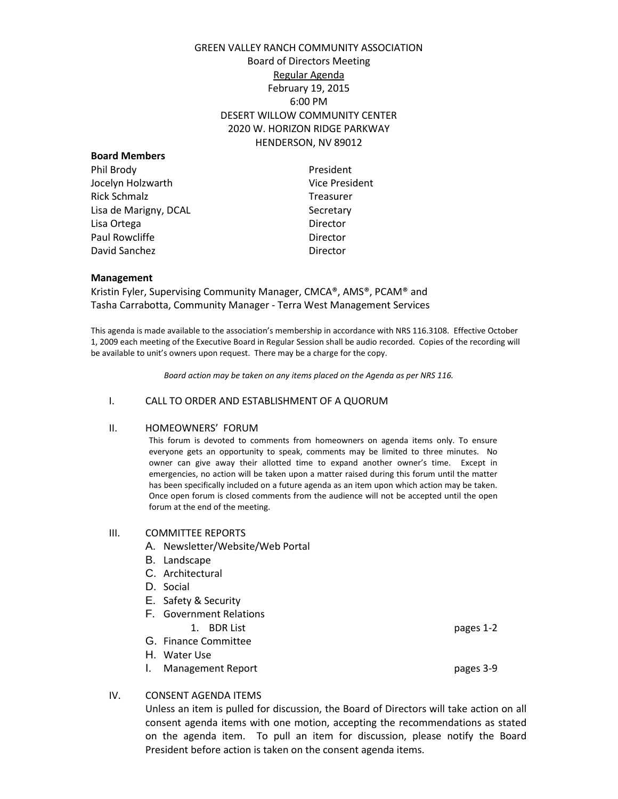# GREEN VALLEY RANCH COMMUNITY ASSOCIATION Board of Directors Meeting Regular Agenda February 19, 2015 6:00 PM DESERT WILLOW COMMUNITY CENTER 2020 W. HORIZON RIDGE PARKWAY HENDERSON, NV 89012

| <b>Board Members</b>  |                       |
|-----------------------|-----------------------|
| Phil Brody            | President             |
| Jocelyn Holzwarth     | <b>Vice President</b> |
| Rick Schmalz          | <b>Treasurer</b>      |
| Lisa de Marigny, DCAL | Secretary             |
| Lisa Ortega           | Director              |
| Paul Rowcliffe        | Director              |
| David Sanchez         | Director              |
|                       |                       |

### **Management**

Kristin Fyler, Supervising Community Manager, CMCA®, AMS®, PCAM® and Tasha Carrabotta, Community Manager - Terra West Management Services

This agenda is made available to the association's membership in accordance with NRS 116.3108. Effective October 1, 2009 each meeting of the Executive Board in Regular Session shall be audio recorded. Copies of the recording will be available to unit's owners upon request. There may be a charge for the copy.

*Board action may be taken on any items placed on the Agenda as per NRS 116.*

### I. CALL TO ORDER AND ESTABLISHMENT OF A QUORUM

### II. HOMEOWNERS' FORUM

This forum is devoted to comments from homeowners on agenda items only. To ensure everyone gets an opportunity to speak, comments may be limited to three minutes. No owner can give away their allotted time to expand another owner's time. Except in emergencies, no action will be taken upon a matter raised during this forum until the matter has been specifically included on a future agenda as an item upon which action may be taken. Once open forum is closed comments from the audience will not be accepted until the open forum at the end of the meeting.

### III. COMMITTEE REPORTS

- A. Newsletter/Website/Web Portal
- B. Landscape
- C. Architectural
- D. Social
- E. Safety & Security
- F. Government Relations

1. BDR List pages 1-2

- G. Finance Committee
- H. Water Use
- I. Management Report pages 3-9

### IV. CONSENT AGENDA ITEMS

Unless an item is pulled for discussion, the Board of Directors will take action on all consent agenda items with one motion, accepting the recommendations as stated on the agenda item. To pull an item for discussion, please notify the Board President before action is taken on the consent agenda items.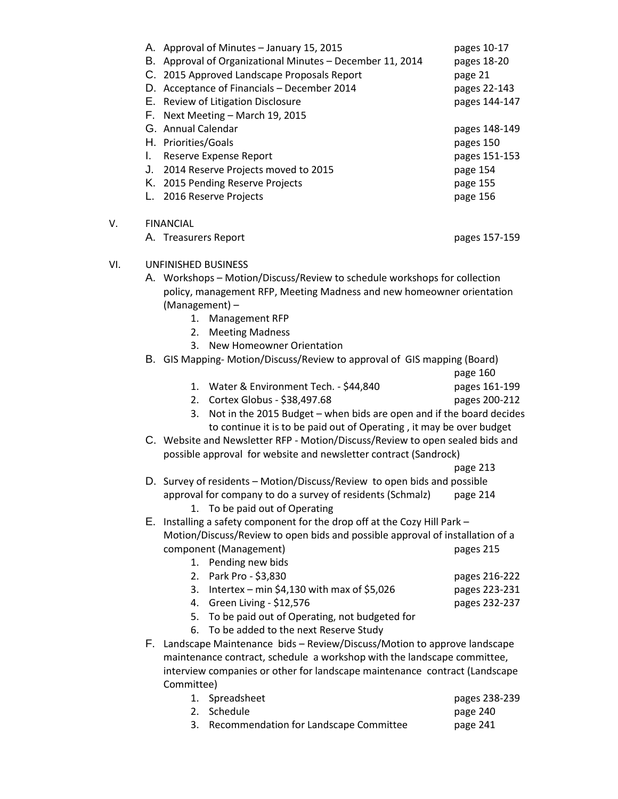|     |                                                                                                                                                            | A. Approval of Minutes - January 15, 2015<br>B. Approval of Organizational Minutes - December 11, 2014<br>C. 2015 Approved Landscape Proposals Report<br>D. Acceptance of Financials - December 2014 | pages 10-17<br>pages 18-20<br>page 21<br>pages 22-143 |
|-----|------------------------------------------------------------------------------------------------------------------------------------------------------------|------------------------------------------------------------------------------------------------------------------------------------------------------------------------------------------------------|-------------------------------------------------------|
|     |                                                                                                                                                            | E. Review of Litigation Disclosure                                                                                                                                                                   | pages 144-147                                         |
|     |                                                                                                                                                            | F. Next Meeting - March 19, 2015                                                                                                                                                                     |                                                       |
|     |                                                                                                                                                            | G. Annual Calendar                                                                                                                                                                                   | pages 148-149                                         |
|     |                                                                                                                                                            | H. Priorities/Goals                                                                                                                                                                                  | pages 150                                             |
|     | L.                                                                                                                                                         | Reserve Expense Report                                                                                                                                                                               | pages 151-153                                         |
|     |                                                                                                                                                            | J. 2014 Reserve Projects moved to 2015                                                                                                                                                               | page 154                                              |
|     |                                                                                                                                                            | K. 2015 Pending Reserve Projects                                                                                                                                                                     | page 155                                              |
|     |                                                                                                                                                            | L. 2016 Reserve Projects                                                                                                                                                                             | page 156                                              |
|     |                                                                                                                                                            |                                                                                                                                                                                                      |                                                       |
| V.  |                                                                                                                                                            | <b>FINANCIAL</b>                                                                                                                                                                                     |                                                       |
|     |                                                                                                                                                            | A. Treasurers Report                                                                                                                                                                                 | pages 157-159                                         |
| VI. |                                                                                                                                                            | UNFINISHED BUSINESS                                                                                                                                                                                  |                                                       |
|     |                                                                                                                                                            | A. Workshops - Motion/Discuss/Review to schedule workshops for collection                                                                                                                            |                                                       |
|     |                                                                                                                                                            | policy, management RFP, Meeting Madness and new homeowner orientation<br>(Management) -                                                                                                              |                                                       |
|     |                                                                                                                                                            | 1.<br><b>Management RFP</b>                                                                                                                                                                          |                                                       |
|     |                                                                                                                                                            | <b>Meeting Madness</b><br>2.                                                                                                                                                                         |                                                       |
|     |                                                                                                                                                            | New Homeowner Orientation<br>3.                                                                                                                                                                      |                                                       |
|     |                                                                                                                                                            | B. GIS Mapping-Motion/Discuss/Review to approval of GIS mapping (Board)                                                                                                                              |                                                       |
|     |                                                                                                                                                            |                                                                                                                                                                                                      | page 160                                              |
|     |                                                                                                                                                            | 1. Water & Environment Tech. - \$44,840                                                                                                                                                              | pages 161-199                                         |
|     |                                                                                                                                                            | Cortex Globus - \$38,497.68<br>2.                                                                                                                                                                    | pages 200-212                                         |
|     |                                                                                                                                                            | Not in the 2015 Budget - when bids are open and if the board decides<br>3.                                                                                                                           |                                                       |
|     |                                                                                                                                                            | to continue it is to be paid out of Operating, it may be over budget                                                                                                                                 |                                                       |
|     | C. Website and Newsletter RFP - Motion/Discuss/Review to open sealed bids and                                                                              |                                                                                                                                                                                                      |                                                       |
|     |                                                                                                                                                            | possible approval for website and newsletter contract (Sandrock)                                                                                                                                     |                                                       |
|     |                                                                                                                                                            |                                                                                                                                                                                                      | page 213                                              |
|     |                                                                                                                                                            | D. Survey of residents - Motion/Discuss/Review to open bids and possible                                                                                                                             |                                                       |
|     |                                                                                                                                                            | approval for company to do a survey of residents (Schmalz) page 214                                                                                                                                  |                                                       |
|     |                                                                                                                                                            | To be paid out of Operating<br>1.                                                                                                                                                                    |                                                       |
|     | E. Installing a safety component for the drop off at the Cozy Hill Park -<br>Motion/Discuss/Review to open bids and possible approval of installation of a |                                                                                                                                                                                                      |                                                       |
|     |                                                                                                                                                            |                                                                                                                                                                                                      |                                                       |
|     |                                                                                                                                                            | component (Management)                                                                                                                                                                               | pages 215                                             |
|     |                                                                                                                                                            | 1. Pending new bids                                                                                                                                                                                  |                                                       |
|     |                                                                                                                                                            | Park Pro - \$3,830<br>2.                                                                                                                                                                             | pages 216-222                                         |
|     |                                                                                                                                                            | Intertex – min \$4,130 with max of \$5,026<br>3.                                                                                                                                                     | pages 223-231                                         |
|     |                                                                                                                                                            | 4. Green Living - \$12,576                                                                                                                                                                           | pages 232-237                                         |
|     |                                                                                                                                                            | 5. To be paid out of Operating, not budgeted for                                                                                                                                                     |                                                       |
|     |                                                                                                                                                            | To be added to the next Reserve Study<br>6.                                                                                                                                                          |                                                       |
|     |                                                                                                                                                            | F. Landscape Maintenance bids - Review/Discuss/Motion to approve landscape<br>maintenance contract, schedule a workshop with the landscape committee,                                                |                                                       |
|     |                                                                                                                                                            |                                                                                                                                                                                                      |                                                       |
|     | interview companies or other for landscape maintenance contract (Landscape<br>Committee)                                                                   |                                                                                                                                                                                                      |                                                       |
|     |                                                                                                                                                            |                                                                                                                                                                                                      |                                                       |
|     |                                                                                                                                                            | 1.<br>Spreadsheet                                                                                                                                                                                    | pages 238-239                                         |
|     |                                                                                                                                                            | Schedule<br>2.                                                                                                                                                                                       | page 240                                              |
|     |                                                                                                                                                            | Recommendation for Landscape Committee<br>3.                                                                                                                                                         | page 241                                              |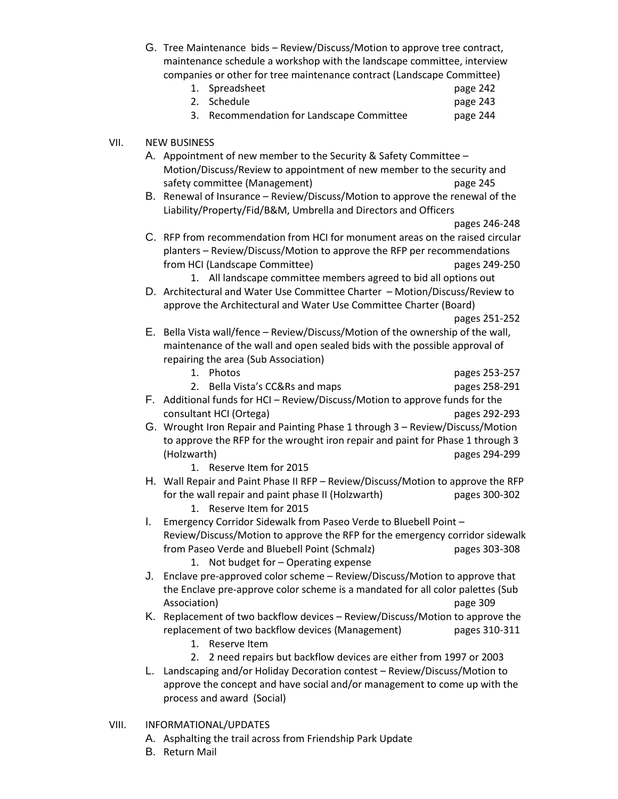G. Tree Maintenance bids – Review/Discuss/Motion to approve tree contract, maintenance schedule a workshop with the landscape committee, interview companies or other for tree maintenance contract (Landscape Committee)

| 1. Spreadsheet                            | page 242 |
|-------------------------------------------|----------|
| 2. Schedule                               | page 243 |
| 3. Recommendation for Landscape Committee | page 244 |

## VII. NEW BUSINESS

A. Appointment of new member to the Security & Safety Committee – Motion/Discuss/Review to appointment of new member to the security and safety committee (Management) and page 245

B. Renewal of Insurance – Review/Discuss/Motion to approve the renewal of the Liability/Property/Fid/B&M, Umbrella and Directors and Officers

pages 246-248

- C. RFP from recommendation from HCI for monument areas on the raised circular planters – Review/Discuss/Motion to approve the RFP per recommendations from HCI (Landscape Committee) pages 249-250
	- 1. All landscape committee members agreed to bid all options out
- D. Architectural and Water Use Committee Charter Motion/Discuss/Review to approve the Architectural and Water Use Committee Charter (Board)

### pages 251-252

- E. Bella Vista wall/fence Review/Discuss/Motion of the ownership of the wall, maintenance of the wall and open sealed bids with the possible approval of repairing the area (Sub Association)
	- 1. Photos pages 253-257
		-
	- 2. Bella Vista's CC&Rs and maps pages 258-291
- F. Additional funds for HCI Review/Discuss/Motion to approve funds for the consultant HCI (Ortega) pages 292-293
- G. Wrought Iron Repair and Painting Phase 1 through 3 Review/Discuss/Motion to approve the RFP for the wrought iron repair and paint for Phase 1 through 3 (Holzwarth) pages 294-299
	- 1. Reserve Item for 2015
- H. Wall Repair and Paint Phase II RFP Review/Discuss/Motion to approve the RFP for the wall repair and paint phase II (Holzwarth) pages 300-302 1. Reserve Item for 2015
- I. Emergency Corridor Sidewalk from Paseo Verde to Bluebell Point Review/Discuss/Motion to approve the RFP for the emergency corridor sidewalk from Paseo Verde and Bluebell Point (Schmalz) pages 303-308
	- 1. Not budget for Operating expense
- J. Enclave pre-approved color scheme Review/Discuss/Motion to approve that the Enclave pre-approve color scheme is a mandated for all color palettes (Sub Association) page 309
- K. Replacement of two backflow devices Review/Discuss/Motion to approve the replacement of two backflow devices (Management) pages 310-311
	- 1. Reserve Item
	- 2. 2 need repairs but backflow devices are either from 1997 or 2003
- L. Landscaping and/or Holiday Decoration contest Review/Discuss/Motion to approve the concept and have social and/or management to come up with the process and award (Social)
- VIII. INFORMATIONAL/UPDATES
	- A. Asphalting the trail across from Friendship Park Update
	- B. Return Mail